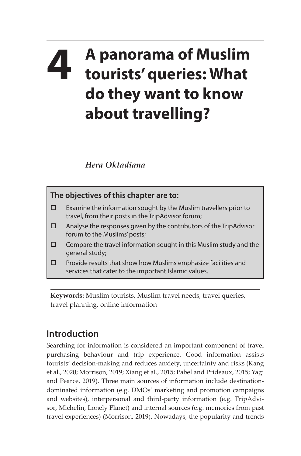## **4 A panorama of Muslim tourists' queries: What do they want to know about travelling?**

*Hera Oktadiana*



**Keywords:** Muslim tourists, Muslim travel needs, travel queries, travel planning, online information

## **Introduction**

Searching for information is considered an important component of travel purchasing behaviour and trip experience. Good information assists tourists' decision-making and reduces anxiety, uncertainty and risks (Kang et al., 2020; Morrison, 2019; Xiang et al., 2015; Pabel and Prideaux, 2015; Yagi and Pearce, 2019). Three main sources of information include destinationdominated information (e.g. DMOs' marketing and promotion campaigns and websites), interpersonal and third-party information (e.g. TripAdvisor, Michelin, Lonely Planet) and internal sources (e.g. memories from past travel experiences) (Morrison, 2019). Nowadays, the popularity and trends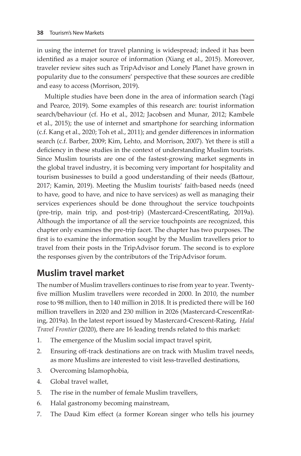in using the internet for travel planning is widespread; indeed it has been identified as a major source of information (Xiang et al., 2015). Moreover, traveler review sites such as TripAdvisor and Lonely Planet have grown in popularity due to the consumers' perspective that these sources are credible and easy to access (Morrison, 2019).

Multiple studies have been done in the area of information search (Yagi and Pearce, 2019). Some examples of this research are: tourist information search/behaviour (cf. Ho et al., 2012; Jacobsen and Munar, 2012; Kambele et al., 2015); the use of internet and smartphone for searching information (c.f. Kang et al., 2020; Toh et al., 2011); and gender differences in information search (c.f. Barber, 2009; Kim, Lehto, and Morrison, 2007). Yet there is still a deficiency in these studies in the context of understanding Muslim tourists. Since Muslim tourists are one of the fastest-growing market segments in the global travel industry, it is becoming very important for hospitality and tourism businesses to build a good understanding of their needs (Battour, 2017; Kamin, 2019). Meeting the Muslim tourists' faith-based needs (need to have, good to have, and nice to have services) as well as managing their services experiences should be done throughout the service touchpoints (pre-trip, main trip, and post-trip) (Mastercard-CrescentRating, 2019a). Although the importance of all the service touchpoints are recognized, this chapter only examines the pre-trip facet. The chapter has two purposes. The first is to examine the information sought by the Muslim travellers prior to travel from their posts in the TripAdvisor forum. The second is to explore the responses given by the contributors of the TripAdvisor forum.

## **Muslim travel market**

The number of Muslim travellers continues to rise from year to year. Twentyfive million Muslim travellers were recorded in 2000. In 2010, the number rose to 98 million, then to 140 million in 2018. It is predicted there will be 160 million travellers in 2020 and 230 million in 2026 (Mastercard-CrescentRating, 2019a). In the latest report issued by Mastercard-Crescent-Rating, *Halal Travel Frontier* (2020), there are 16 leading trends related to this market:

- 1. The emergence of the Muslim social impact travel spirit,
- 2. Ensuring off-track destinations are on track with Muslim travel needs, as more Muslims are interested to visit less-travelled destinations,
- 3. Overcoming Islamophobia,
- 4. Global travel wallet,
- 5. The rise in the number of female Muslim travellers,
- 6. Halal gastronomy becoming mainstream,
- 7. The Daud Kim effect (a former Korean singer who tells his journey